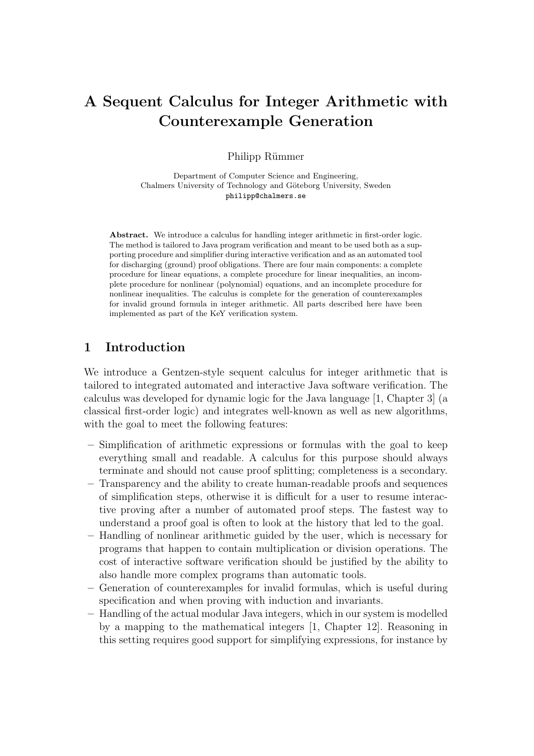# A Sequent Calculus for Integer Arithmetic with Counterexample Generation

Philipp Rümmer

Department of Computer Science and Engineering, Chalmers University of Technology and Göteborg University, Sweden philipp@chalmers.se

Abstract. We introduce a calculus for handling integer arithmetic in first-order logic. The method is tailored to Java program verification and meant to be used both as a supporting procedure and simplifier during interactive verification and as an automated tool for discharging (ground) proof obligations. There are four main components: a complete procedure for linear equations, a complete procedure for linear inequalities, an incomplete procedure for nonlinear (polynomial) equations, and an incomplete procedure for nonlinear inequalities. The calculus is complete for the generation of counterexamples for invalid ground formula in integer arithmetic. All parts described here have been implemented as part of the KeY verification system.

### 1 Introduction

We introduce a Gentzen-style sequent calculus for integer arithmetic that is tailored to integrated automated and interactive Java software verification. The calculus was developed for dynamic logic for the Java language [1, Chapter 3] (a classical first-order logic) and integrates well-known as well as new algorithms, with the goal to meet the following features:

- Simplification of arithmetic expressions or formulas with the goal to keep everything small and readable. A calculus for this purpose should always terminate and should not cause proof splitting; completeness is a secondary.
- Transparency and the ability to create human-readable proofs and sequences of simplification steps, otherwise it is difficult for a user to resume interactive proving after a number of automated proof steps. The fastest way to understand a proof goal is often to look at the history that led to the goal.
- Handling of nonlinear arithmetic guided by the user, which is necessary for programs that happen to contain multiplication or division operations. The cost of interactive software verification should be justified by the ability to also handle more complex programs than automatic tools.
- Generation of counterexamples for invalid formulas, which is useful during specification and when proving with induction and invariants.
- Handling of the actual modular Java integers, which in our system is modelled by a mapping to the mathematical integers [1, Chapter 12]. Reasoning in this setting requires good support for simplifying expressions, for instance by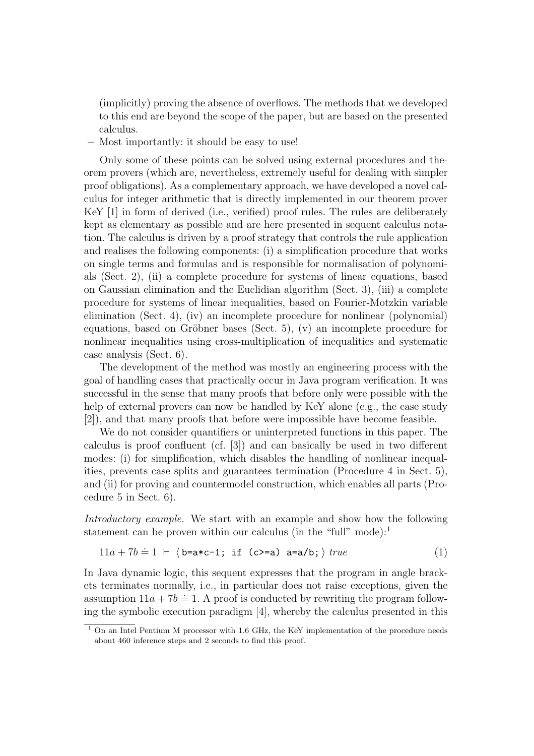(implicitly) proving the absence of overflows. The methods that we developed to this end are beyond the scope of the paper, but are based on the presented calculus.

– Most importantly: it should be easy to use!

Only some of these points can be solved using external procedures and theorem provers (which are, nevertheless, extremely useful for dealing with simpler proof obligations). As a complementary approach, we have developed a novel calculus for integer arithmetic that is directly implemented in our theorem prover KeY [1] in form of derived (i.e., verified) proof rules. The rules are deliberately kept as elementary as possible and are here presented in sequent calculus notation. The calculus is driven by a proof strategy that controls the rule application and realises the following components: (i) a simplification procedure that works on single terms and formulas and is responsible for normalisation of polynomials (Sect. 2), (ii) a complete procedure for systems of linear equations, based on Gaussian elimination and the Euclidian algorithm (Sect. 3), (iii) a complete procedure for systems of linear inequalities, based on Fourier-Motzkin variable elimination (Sect. 4), (iv) an incomplete procedure for nonlinear (polynomial) equations, based on Gröbner bases (Sect. 5),  $(v)$  an incomplete procedure for nonlinear inequalities using cross-multiplication of inequalities and systematic case analysis (Sect. 6).

The development of the method was mostly an engineering process with the goal of handling cases that practically occur in Java program verification. It was successful in the sense that many proofs that before only were possible with the help of external provers can now be handled by KeY alone (e.g., the case study [2]), and that many proofs that before were impossible have become feasible.

We do not consider quantifiers or uninterpreted functions in this paper. The calculus is proof confluent (cf. [3]) and can basically be used in two different modes: (i) for simplification, which disables the handling of nonlinear inequalities, prevents case splits and guarantees termination (Procedure 4 in Sect. 5), and (ii) for proving and countermodel construction, which enables all parts (Procedure 5 in Sect. 6).

Introductory example. We start with an example and show how the following statement can be proven within our calculus (in the "full" mode): $<sup>1</sup>$ </sup>

$$
11a + 7b \doteq 1 \ \vdash \ \langle \mathbf{b} = \mathbf{a} * \mathbf{c} - \mathbf{1}; \text{ if } (\mathbf{c} > = \mathbf{a}) \ \mathbf{a} = \mathbf{a}/\mathbf{b}; \rangle \ \text{true} \tag{1}
$$

In Java dynamic logic, this sequent expresses that the program in angle brackets terminates normally, i.e., in particular does not raise exceptions, given the  $\alpha$  assumption  $11a + 7b = 1$ . A proof is conducted by rewriting the program following the symbolic execution paradigm [4], whereby the calculus presented in this

<sup>&</sup>lt;sup>1</sup> On an Intel Pentium M processor with 1.6 GHz, the KeY implementation of the procedure needs about 460 inference steps and 2 seconds to find this proof.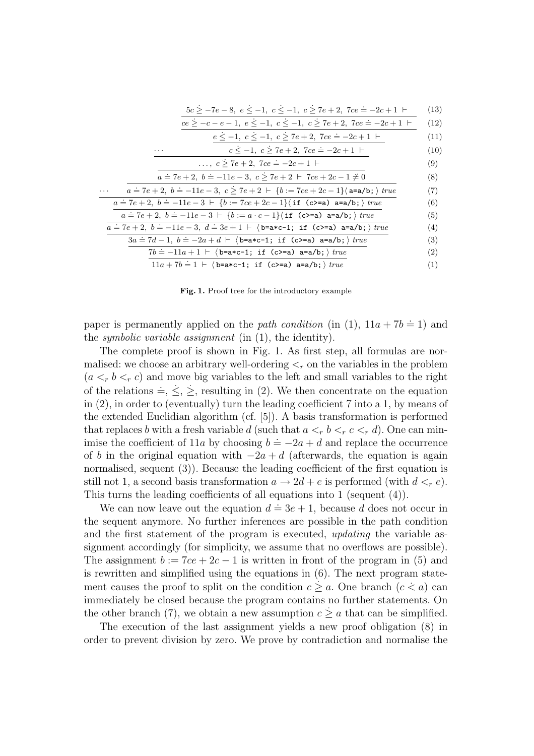|  |  | $5c \ge -7e - 8$ , $e \le -1$ , $c \le -1$ , $c \ge 7e + 2$ , $7ce = -2c + 1$ $\vdash$ (13)                    |  |
|--|--|----------------------------------------------------------------------------------------------------------------|--|
|  |  | - 2010년 - 2010년 - 2010년 - 2010년 - 2010년 - 2010년 - 2010년 - 2010년 - 2010년 - 2010년 - 2010년 - 2010년 - 2010년 - 2010 |  |

| $ce \geq -c - e - 1, e \leq -1, c \leq -1, c \geq 7e + 2, 7ce = -2c + 1$ (12) |
|-------------------------------------------------------------------------------|
|-------------------------------------------------------------------------------|

|          | $e \leq -1, c \leq -1, c \geq 7e + 2, 7ce = -2c + 1$                                                       |
|----------|------------------------------------------------------------------------------------------------------------|
| $\cdots$ | $c \leq -1, c \geq 7e + 2, 7ce = -2c + 1$                                                                  |
|          | $\ldots, c > 7e + 2, 7ce = -2c + 1$                                                                        |
|          | $a = 7e + 2$ , $b = -11e - 3$ , $c \ge 7e + 2 + 7ce + 2c - 1 \ne 0$                                        |
|          | $a = 7e + 2$ , $b = -11e - 3$ , $c \ge 7e + 2 + \{b := 7ce + 2c - 1\}$ a=a/b; $\}$ true                    |
|          | $a = 7e + 2$ , $b = -11e - 3 + \{b := 7ce + 2c - 1\}$ (if (c>=a) a=a/b; ) true                             |
|          | $a = 7e + 2$ , $b = -11e - 3 + \{b := a \cdot c - 1\}$ (if (c>=a) a=a/b; ) true                            |
|          | $a = 7e + 2$ , $b = -11e - 3$ , $d = 3e + 1$ $\vdash$ $\langle$ b=a*c-1; if $(c>=a)$ a=a/b; $\rangle$ true |
|          | $3a \doteq 7d-1$ , $b \doteq -2a+d$ $\vdash$ $\langle$ b=a*c-1; if $(c>=a)$ a=a/b; $\rangle$ true          |
|          | $7b = -11a + 1$ $\vdash$ $\langle$ b=a*c-1; if $(c>=a)$ a=a/b; $\rangle$ true                              |
|          | $11a + 7b = 1 + \langle b = a * c - 1; \text{ if } (c \ge a) a = a/b; \rangle \text{ true}$                |

Fig. 1. Proof tree for the introductory example

paper is permanently applied on the *path condition* (in (1),  $11a + 7b = 1$ ) and the *symbolic variable assignment* (in  $(1)$ , the identity).

The complete proof is shown in Fig. 1. As first step, all formulas are normalised: we choose an arbitrary well-ordering  $\lt_r$  on the variables in the problem  $(a <_r b <_r c)$  and move big variables to the left and small variables to the right of the relations  $\dot{=}$ ,  $\dot{\le}$ ,  $\dot{\ge}$ , resulting in (2). We then concentrate on the equation in (2), in order to (eventually) turn the leading coefficient 7 into a 1, by means of the extended Euclidian algorithm (cf. [5]). A basis transformation is performed that replaces b with a fresh variable d (such that  $a <_r b <_r c <_r d$ ). One can minimise the coefficient of 11a by choosing  $b = -2a + d$  and replace the occurrence of b in the original equation with  $-2a + d$  (afterwards, the equation is again normalised, sequent (3)). Because the leading coefficient of the first equation is still not 1, a second basis transformation  $a \to 2d + e$  is performed (with  $d <_r e$ ). This turns the leading coefficients of all equations into 1 (sequent (4)).

We can now leave out the equation  $d = 3e + 1$ , because d does not occur in the sequent anymore. No further inferences are possible in the path condition and the first statement of the program is executed, updating the variable assignment accordingly (for simplicity, we assume that no overflows are possible). The assignment  $b := 7ce + 2c - 1$  is written in front of the program in (5) and is rewritten and simplified using the equations in (6). The next program state- $\alpha$  is connected and simple a single sequence in (c). The non-program state<br>ment causes the proof to split on the condition  $c \ge a$ . One branch  $(c \le a)$  can immediately be closed because the program contains no further statements. On . the other branch (7), we obtain a new assumption  $c \geq a$  that can be simplified.

The execution of the last assignment yields a new proof obligation (8) in order to prevent division by zero. We prove by contradiction and normalise the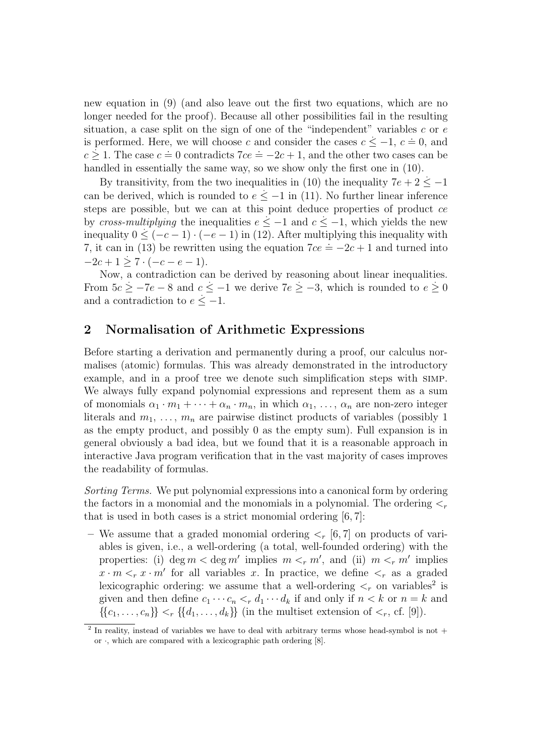new equation in (9) (and also leave out the first two equations, which are no longer needed for the proof). Because all other possibilities fail in the resulting situation, a case split on the sign of one of the "independent" variables  $c$  or  $e$ is performed. Here, we will choose c and consider the cases  $c \le -1$ ,  $c = 0$ , and s performed. Here, we win choose c and consider the cases  $c \leq 1$ ,  $c = 0$ , and  $c \geq 1$ . The case  $c = 0$  contradicts  $7ce = -2c + 1$ , and the other two cases can be handled in essentially the same way, so we show only the first one in (10).

By transitivity, from the two inequalities in (10) the inequality  $7e + 2 \le -1$ can be derived, which is rounded to  $e \leq -1$  in (11). No further linear inference steps are possible, but we can at this point deduce properties of product ce by cross-multiplying the inequalities  $e \leq -1$  and  $c \leq -1$ , which yields the new inequality  $0 \leq (-c-1) \cdot (-e-1)$  in (12). After multiplying this inequality with 7, it can in (13) be rewritten using the equation  $7ce = -2c + 1$  and turned into  $-2c+1 \geq 7 \cdot (-c-e-1).$ 

Now, a contradiction can be derived by reasoning about linear inequalities. . . . . From  $5c \ge -7e - 8$  and  $c \le -1$  we derive  $7e \ge -3$ , which is rounded to  $e \ge 0$ and a contradiction to  $e \leq -1$ .

### 2 Normalisation of Arithmetic Expressions

Before starting a derivation and permanently during a proof, our calculus normalises (atomic) formulas. This was already demonstrated in the introductory example, and in a proof tree we denote such simplification steps with simp. We always fully expand polynomial expressions and represent them as a sum of monomials  $\alpha_1 \cdot m_1 + \cdots + \alpha_n \cdot m_n$ , in which  $\alpha_1, \ldots, \alpha_n$  are non-zero integer literals and  $m_1, \ldots, m_n$  are pairwise distinct products of variables (possibly 1) as the empty product, and possibly 0 as the empty sum). Full expansion is in general obviously a bad idea, but we found that it is a reasonable approach in interactive Java program verification that in the vast majority of cases improves the readability of formulas.

Sorting Terms. We put polynomial expressions into a canonical form by ordering the factors in a monomial and the monomials in a polynomial. The ordering  $\lt_r$ that is used in both cases is a strict monomial ordering [6, 7]:

– We assume that a graded monomial ordering  $\leq_r [6, 7]$  on products of variables is given, i.e., a well-ordering (a total, well-founded ordering) with the properties: (i)  $\deg m < \deg m'$  implies  $m <_r m'$ , and (ii)  $m <_r m'$  implies  $x \cdot m \leq r$  *x*  $\cdot m'$  for all variables *x*. In practice, we define  $\leq_r$  as a graded lexicographic ordering: we assume that a well-ordering  $\lt_r$  on variables<sup>2</sup> is given and then define  $c_1 \cdots c_n <_{r} d_1 \cdots d_k$  if and only if  $n < k$  or  $n = k$  and  $\{\{c_1,\ldots,c_n\}\} < r \{\{d_1,\ldots,d_k\}\}\$  (in the multiset extension of  $\leq_r$ , cf. [9]).

<sup>&</sup>lt;sup>2</sup> In reality, instead of variables we have to deal with arbitrary terms whose head-symbol is not  $+$ or  $\cdot$ , which are compared with a lexicographic path ordering [8].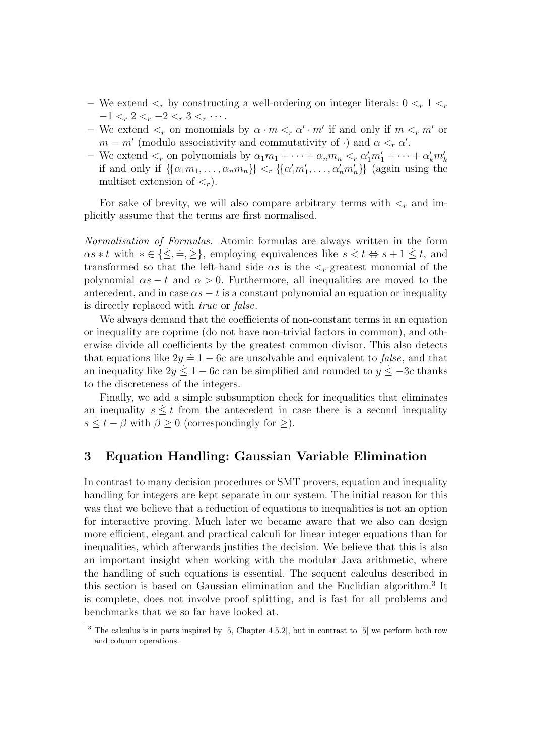- We extend  $\lt_r$  by constructing a well-ordering on integer literals:  $0 \lt_r 1 \lt_r$  $-1 < r \leq 2 < r \leq -2 < r \leq 3 < r \cdots$ .
- We extend  $\lt_r$  on monomials by  $\alpha \cdot m \lt_r \alpha' \cdot m'$  if and only if  $m \lt_r m'$  or  $m = m'$  (modulo associativity and commutativity of ·) and  $\alpha <_{r} \alpha'$ .
- We extend  $\lt_r$  on polynomials by  $\alpha_1 m_1 + \cdots + \alpha_n m_n \lt_r \alpha'_1 m'_1 + \cdots + \alpha'_k m'_k$ if and only if  $\{\{\alpha_1m_1,\ldots,\alpha_nm_n\}\} <_\tau \{\{\alpha'_1m'_1,\ldots,\alpha'_nm'_n\}\}\$  (again using the multiset extension of  $\langle \cdot \rangle$ .

For sake of brevity, we will also compare arbitrary terms with  $\leq_r$  and implicitly assume that the terms are first normalised.

Normalisation of Formulas. Atomic formulas are always written in the form . .  $\alpha s * t$  with  $* \in {\leq} , \leq$ , employing equivalences like  $s < t \Leftrightarrow s + 1 \leq t$ , and transformed so that the left-hand side  $\alpha s$  is the  $\langle r$ -greatest monomial of the polynomial  $\alpha s - t$  and  $\alpha > 0$ . Furthermore, all inequalities are moved to the antecedent, and in case  $\alpha s - t$  is a constant polynomial an equation or inequality is directly replaced with true or false.

We always demand that the coefficients of non-constant terms in an equation or inequality are coprime (do not have non-trivial factors in common), and otherwise divide all coefficients by the greatest common divisor. This also detects that equations like  $2y = 1 - 6c$  are unsolvable and equivalent to *false*, and that an inequality like  $2y \leq 1 - 6c$  can be simplified and rounded to  $y \leq -3c$  thanks to the discreteness of the integers.

Finally, we add a simple subsumption check for inequalities that eliminates an inequality  $s \leq t$  from the antecedent in case there is a second inequality  $s \leq t - \beta$  with  $\beta \geq 0$  (correspondingly for  $\geq$ ).

#### 3 Equation Handling: Gaussian Variable Elimination

In contrast to many decision procedures or SMT provers, equation and inequality handling for integers are kept separate in our system. The initial reason for this was that we believe that a reduction of equations to inequalities is not an option for interactive proving. Much later we became aware that we also can design more efficient, elegant and practical calculi for linear integer equations than for inequalities, which afterwards justifies the decision. We believe that this is also an important insight when working with the modular Java arithmetic, where the handling of such equations is essential. The sequent calculus described in this section is based on Gaussian elimination and the Euclidian algorithm.<sup>3</sup> It is complete, does not involve proof splitting, and is fast for all problems and benchmarks that we so far have looked at.

<sup>&</sup>lt;sup>3</sup> The calculus is in parts inspired by [5, Chapter 4.5.2], but in contrast to [5] we perform both row and column operations.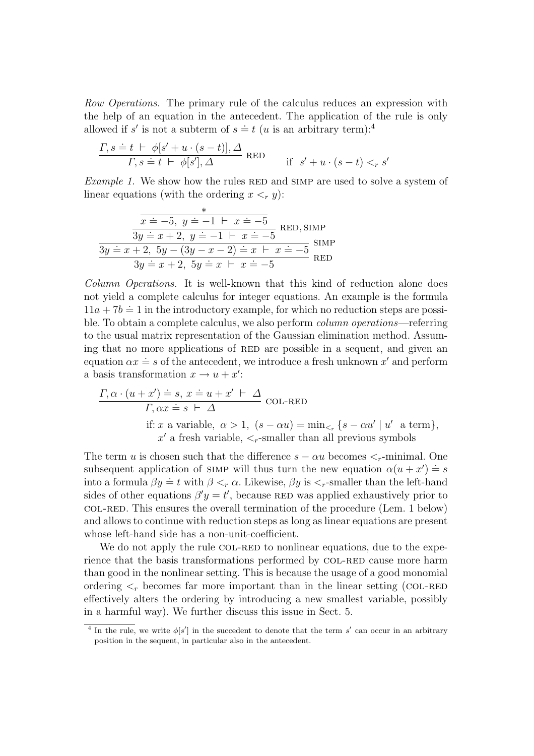Row Operations. The primary rule of the calculus reduces an expression with the help of an equation in the antecedent. The application of the rule is only allowed if s' is not a subterm of  $s = t$  (u is an arbitrary term):<sup>4</sup>

$$
\frac{\Gamma, s \doteq t \ \vdash \ \phi[s' + u \cdot (s - t)], \Delta}{\Gamma, s \doteq t \ \vdash \ \phi[s'], \Delta} \ \text{RED} \qquad \text{if} \ \ s' + u \cdot (s - t) <_{r} s'
$$

Example 1. We show how the rules RED and SIMP are used to solve a system of linear equations (with the ordering  $x \leq r$  y):

$$
\frac{x}{3y \doteq x+2, y \doteq -1 \vdash x \doteq -5} \text{RED, SIMP}
$$
  

$$
\frac{3y \doteq x+2, y \doteq -1 \vdash x \doteq -5}{3y \doteq x+2, 5y-(3y-x-2) \doteq x \vdash x \doteq -5} \text{SIMP}
$$
  

$$
\frac{3y \doteq x+2, 5y-(3y-x-2) \doteq x \vdash x \doteq -5}{} \text{RED}
$$

Column Operations. It is well-known that this kind of reduction alone does not yield a complete calculus for integer equations. An example is the formula  $11a + 7b = 1$  in the introductory example, for which no reduction steps are possible. To obtain a complete calculus, we also perform column operations—referring to the usual matrix representation of the Gaussian elimination method. Assuming that no more applications of RED are possible in a sequent, and given an equation  $\alpha x \doteq s$  of the antecedent, we introduce a fresh unknown x' and perform a basis transformation  $x \to u + x'$ :

$$
\frac{\Gamma, \alpha \cdot (u + x') \doteq s, x \doteq u + x' \vdash \Delta}{\Gamma, \alpha x \doteq s \vdash \Delta} \text{COL-RED}
$$
  
if:  $x$  a variable,  $\alpha > 1$ ,  $(s - \alpha u) = \min_{\leq r} \{s - \alpha u' \mid u' \text{ a term}\},$   
 $x'$  a fresh variable,  $\leq_r$ -smaller than all previous symbols

The term u is chosen such that the difference  $s - \alpha u$  becomes  $\lt_r$ -minimal. One subsequent application of simply will thus turn the new equation  $\alpha(u + x') \doteq s$ into a formula  $\beta y = t$  with  $\beta <_{r} \alpha$ . Likewise,  $\beta y$  is  $\leq_{r}$ -smaller than the left-hand sides of other equations  $\beta' y = t'$ , because RED was applied exhaustively prior to col-red. This ensures the overall termination of the procedure (Lem. 1 below) and allows to continue with reduction steps as long as linear equations are present whose left-hand side has a non-unit-coefficient.

We do not apply the rule COL-RED to nonlinear equations, due to the experience that the basis transformations performed by COL-RED cause more harm than good in the nonlinear setting. This is because the usage of a good monomial ordering  $\lt_r$  becomes far more important than in the linear setting (COL-RED) effectively alters the ordering by introducing a new smallest variable, possibly in a harmful way). We further discuss this issue in Sect. 5.

<sup>&</sup>lt;sup>4</sup> In the rule, we write  $\phi[s']$  in the succedent to denote that the term s' can occur in an arbitrary position in the sequent, in particular also in the antecedent.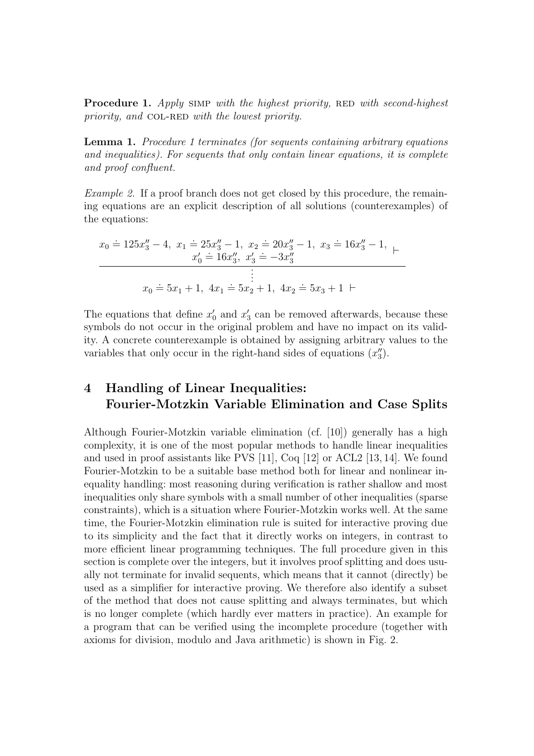**Procedure 1.** Apply SIMP with the highest priority, RED with second-highest priority, and COL-RED with the lowest priority.

Lemma 1. Procedure 1 terminates (for sequents containing arbitrary equations and inequalities). For sequents that only contain linear equations, it is complete and proof confluent.

Example 2. If a proof branch does not get closed by this procedure, the remaining equations are an explicit description of all solutions (counterexamples) of the equations:

$$
x_0 \doteq 125x_3'' - 4, \ x_1 \doteq 25x_3'' - 1, \ x_2 \doteq 20x_3'' - 1, \ x_3 \doteq 16x_3'' - 1, \ \n\vdots
$$
\n
$$
x_0 \doteq 16x_3'', \ x_3' \doteq -3x_3''
$$
\n
$$
\vdots
$$
\n
$$
x_0 \doteq 5x_1 + 1, \ 4x_1 \doteq 5x_2 + 1, \ 4x_2 \doteq 5x_3 + 1 \ \vdash
$$

The equations that define  $x'_0$  and  $x'_3$  can be removed afterwards, because these symbols do not occur in the original problem and have no impact on its validity. A concrete counterexample is obtained by assigning arbitrary values to the variables that only occur in the right-hand sides of equations  $(x_3'')$ .

# 4 Handling of Linear Inequalities: Fourier-Motzkin Variable Elimination and Case Splits

Although Fourier-Motzkin variable elimination (cf. [10]) generally has a high complexity, it is one of the most popular methods to handle linear inequalities and used in proof assistants like PVS [11], Coq [12] or ACL2 [13, 14]. We found Fourier-Motzkin to be a suitable base method both for linear and nonlinear inequality handling: most reasoning during verification is rather shallow and most inequalities only share symbols with a small number of other inequalities (sparse constraints), which is a situation where Fourier-Motzkin works well. At the same time, the Fourier-Motzkin elimination rule is suited for interactive proving due to its simplicity and the fact that it directly works on integers, in contrast to more efficient linear programming techniques. The full procedure given in this section is complete over the integers, but it involves proof splitting and does usually not terminate for invalid sequents, which means that it cannot (directly) be used as a simplifier for interactive proving. We therefore also identify a subset of the method that does not cause splitting and always terminates, but which is no longer complete (which hardly ever matters in practice). An example for a program that can be verified using the incomplete procedure (together with axioms for division, modulo and Java arithmetic) is shown in Fig. 2.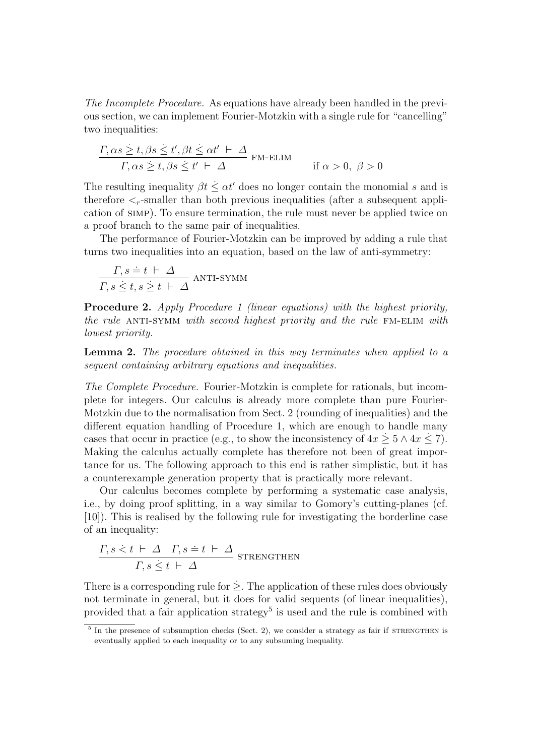The Incomplete Procedure. As equations have already been handled in the previous section, we can implement Fourier-Motzkin with a single rule for "cancelling" two inequalities:

$$
\frac{\Gamma \alpha s \geq t, \beta s \leq t', \beta t \leq \alpha t' \vdash \Delta}{\Gamma \alpha s \geq t, \beta s \leq t' \vdash \Delta} \text{FM-ELIM} \quad \text{if } \alpha > 0, \ \beta > 0
$$

The resulting inequality  $\beta t \leq \alpha t'$  does no longer contain the monomial s and is therefore  $\leq_r$ -smaller than both previous inequalities (after a subsequent application of simp). To ensure termination, the rule must never be applied twice on a proof branch to the same pair of inequalities.

The performance of Fourier-Motzkin can be improved by adding a rule that turns two inequalities into an equation, based on the law of anti-symmetry:

$$
\frac{\Gamma, s \doteq t \vdash \Delta}{\Gamma, s \leq t, s \geq t \vdash \Delta}
$$
ANTI-SYMM

Procedure 2. Apply Procedure 1 (linear equations) with the highest priority, the rule ANTI-SYMM with second highest priority and the rule FM-ELIM with lowest priority.

Lemma 2. The procedure obtained in this way terminates when applied to a sequent containing arbitrary equations and inequalities.

The Complete Procedure. Fourier-Motzkin is complete for rationals, but incomplete for integers. Our calculus is already more complete than pure Fourier-Motzkin due to the normalisation from Sect. 2 (rounding of inequalities) and the different equation handling of Procedure 1, which are enough to handle many cases that occur in practice (e.g., to show the inconsistency of  $4x \geq 5 \wedge 4x \leq 7$ ). Making the calculus actually complete has therefore not been of great importance for us. The following approach to this end is rather simplistic, but it has a counterexample generation property that is practically more relevant.

Our calculus becomes complete by performing a systematic case analysis, i.e., by doing proof splitting, in a way similar to Gomory's cutting-planes (cf. [10]). This is realised by the following rule for investigating the borderline case of an inequality:

$$
\frac{\Gamma, s \leq t \vdash \Delta \quad \Gamma, s \doteq t \vdash \Delta}{\Gamma, s \leq t \vdash \Delta} \text{ STRENGTHEN}
$$

There is a corresponding rule for  $\geq$ . The application of these rules does obviously not terminate in general, but it does for valid sequents (of linear inequalities), provided that a fair application strategy<sup>5</sup> is used and the rule is combined with

 $5\text{ In the presence of subsumption checks (Sect. 2), we consider a strategy as fair if STRENGTHENS.}$ eventually applied to each inequality or to any subsuming inequality.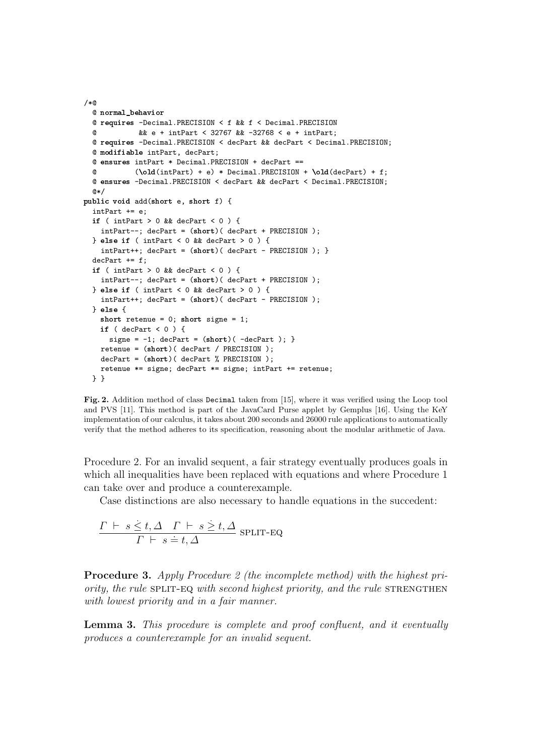```
/*@
  @ normal_behavior
  @ requires -Decimal.PRECISION < f && f < Decimal.PRECISION
  @ && e + intPart < 32767 && -32768 < e + intPart;
 @ requires -Decimal.PRECISION < decPart && decPart < Decimal.PRECISION;
  @ modifiable intPart, decPart;
  @ ensures intPart * Decimal.PRECISION + decPart == \theta (\old(intPart) + e) * Decimal PRECISION
            (\text{old(intPart)} + e) * \text{Decimal.PRECISION} + \text{old(decPart)} + f;@ ensures -Decimal.PRECISION < decPart && decPart < Decimal.PRECISION;
  @*/
public void add(short e, short f) {
  intPart += e;
  if ( intPart > 0 && decPart < 0 ) {
    intPart--; decPart = (short)( decPart + PRECISION );
  } else if ( intPart < 0 && decPart > 0 ) {
    intPart++; decPart = (short)( decPart - PRECISION ); }
  decPart += f:
 if ( intPart > 0 && decPart < 0 ) {
    intPart--; decPart = (short)( decPart + PRECISION );
  } else if ( intPart < 0 && decPart > 0 ) {
    intPart++; decPart = (short)( decPart - PRECISION );
  } else {
    short retenue = 0; short signe = 1;
    if ( decPart < 0 ) {
      signe = -1; decPart = (short)(-decPart); }
    retenue = (short)( decPart / PRECISION );
    decPart = (short)( decPart % PRECISION );
   retenue *= signe; decPart *= signe; intPart += retenue;
  } }
```
Fig. 2. Addition method of class Decimal taken from [15], where it was verified using the Loop tool and PVS [11]. This method is part of the JavaCard Purse applet by Gemplus [16]. Using the KeY implementation of our calculus, it takes about 200 seconds and 26000 rule applications to automatically verify that the method adheres to its specification, reasoning about the modular arithmetic of Java.

Procedure 2. For an invalid sequent, a fair strategy eventually produces goals in which all inequalities have been replaced with equations and where Procedure 1 can take over and produce a counterexample.

Case distinctions are also necessary to handle equations in the succedent:

$$
\frac{\Gamma \vdash s \leq t, \Delta \quad \Gamma \vdash s \geq t, \Delta}{\Gamma \vdash s = t, \Delta} \text{ split-EQ}
$$

Procedure 3. Apply Procedure 2 (the incomplete method) with the highest priority, the rule SPLIT-EQ with second highest priority, and the rule STRENGTHEN with lowest priority and in a fair manner.

Lemma 3. This procedure is complete and proof confluent, and it eventually produces a counterexample for an invalid sequent.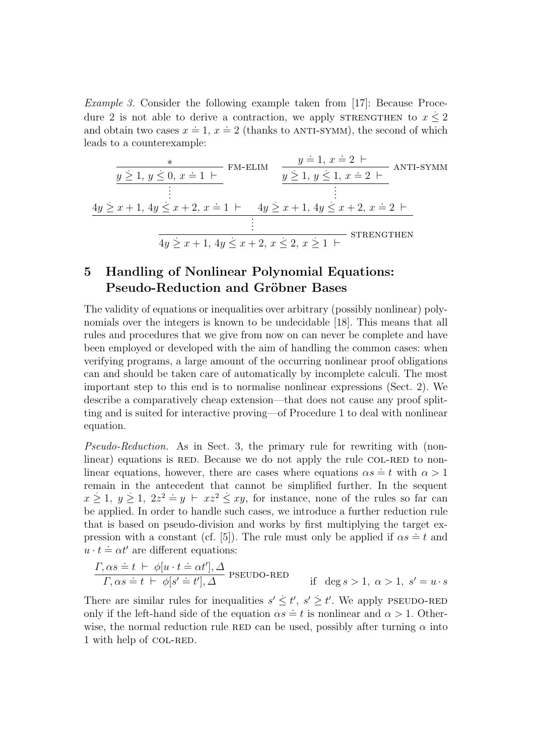Example 3. Consider the following example taken from [17]: Because Procedure 2 is not able to derive a contraction, we apply STRENGTHEN to  $x \leq 2$ and obtain two cases  $x = 1$ ,  $x = 2$  (thanks to ANTI-SYMM), the second of which leads to a counterexample:

$$
\frac{x}{y \geq 1, y \leq 0, x = 1 \vdash} \text{FM-ELIM} \quad \frac{y = 1, x = 2 \vdash}{y \geq 1, y \leq 1, x = 2 \vdash} \text{ANTI-SYMM}
$$
\n
$$
\vdots \quad \vdots
$$
\n
$$
\frac{4y \geq x + 1, 4y \leq x + 2, x = 1 \vdash 4y \geq x + 1, 4y \leq x + 2, x = 2 \vdash}{\vdots}
$$
\n
$$
\frac{4y \geq x + 1, 4y \leq x + 2, x \leq 2, x \geq 1 \vdash} \text{STRENGTHEN}
$$

# 5 Handling of Nonlinear Polynomial Equations: Pseudo-Reduction and Gröbner Bases

The validity of equations or inequalities over arbitrary (possibly nonlinear) polynomials over the integers is known to be undecidable [18]. This means that all rules and procedures that we give from now on can never be complete and have been employed or developed with the aim of handling the common cases: when verifying programs, a large amount of the occurring nonlinear proof obligations can and should be taken care of automatically by incomplete calculi. The most important step to this end is to normalise nonlinear expressions (Sect. 2). We describe a comparatively cheap extension—that does not cause any proof splitting and is suited for interactive proving—of Procedure 1 to deal with nonlinear equation.

Pseudo-Reduction. As in Sect. 3, the primary rule for rewriting with (nonlinear) equations is RED. Because we do not apply the rule COL-RED to nonlinear equations is RED. Because we do not apply the rate control to home linear equations, however, there are cases where equations  $\alpha s = t$  with  $\alpha > 1$ remain in the antecedent that cannot be simplified further. In the sequent  $x \geq 1$ ,  $y \geq 1$ ,  $2z^2 = y + xz^2 \leq xy$ , for instance, none of the rules so far can be applied. In order to handle such cases, we introduce a further reduction rule that is based on pseudo-division and works by first multiplying the target expression with a constant (cf. [5]). The rule must only be applied if  $\alpha s = t$  and  $u \cdot t = \alpha t'$  are different equations:

$$
\frac{\Gamma, \alpha s \doteq t \ \vdash \ \phi[u \cdot t \doteq \alpha t'], \Delta}{\Gamma, \alpha s \doteq t \ \vdash \ \phi[s' \doteq t'], \Delta} \ \text{PSEUDO-RED} \qquad \text{if} \ \ \deg s > 1, \ \alpha > 1, \ s' = u \cdot s
$$

There are similar rules for inequalities  $s' \leq t'$ ,  $s' \geq t'$ . We apply PSEUDO-RED only if the left-hand side of the equation  $\alpha s = t$  is nonlinear and  $\alpha > 1$ . Otherwise, the normal reduction rule RED can be used, possibly after turning  $\alpha$  into 1 with help of COL-RED.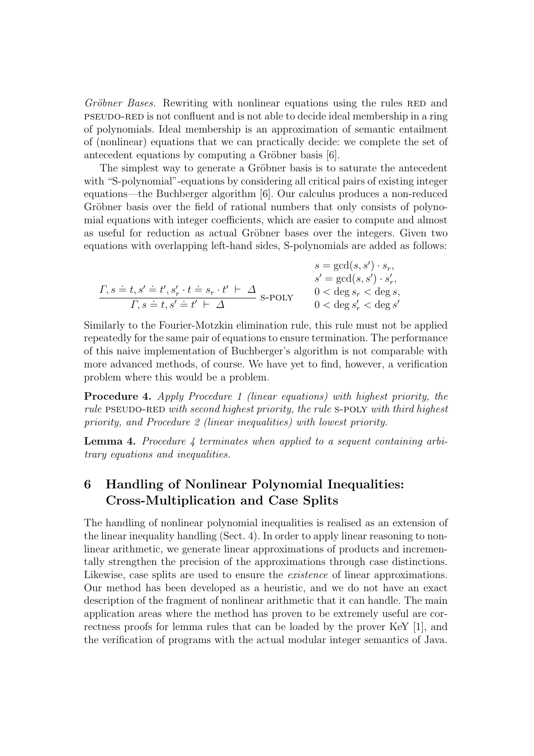Gröbner Bases. Rewriting with nonlinear equations using the rules RED and pseudo-red is not confluent and is not able to decide ideal membership in a ring of polynomials. Ideal membership is an approximation of semantic entailment of (nonlinear) equations that we can practically decide: we complete the set of antecedent equations by computing a Gröbner basis [6].

The simplest way to generate a Gröbner basis is to saturate the antecedent with "S-polynomial"-equations by considering all critical pairs of existing integer equations—the Buchberger algorithm [6]. Our calculus produces a non-reduced Gröbner basis over the field of rational numbers that only consists of polynomial equations with integer coefficients, which are easier to compute and almost as useful for reduction as actual Gröbner bases over the integers. Given two equations with overlapping left-hand sides, S-polynomials are added as follows:

$$
\begin{array}{cc} s = \gcd(s,s') \cdot s_r, \\ \frac{\Gamma}{s} = \gcd(s,s') \cdot s'_r, \\ \frac{\Gamma}{s} = \gcd(s,s') \cdot s'_r, \\ \frac{\Gamma}{s} = \frac{t}{s'} + \frac{s'}{s'} + \frac{t}{s'} + \frac{t}{s'} + \frac{t}{s'} + \frac{t}{s'} + \frac{t}{s'} + \frac{t}{s'} + \frac{t}{s'} + \frac{t}{s'} + \frac{t}{s'} + \frac{t}{s'} + \frac{t}{s'} + \frac{t}{s'} + \frac{t}{s'} + \frac{t}{s'} + \frac{t}{s'} + \frac{t}{s'} + \frac{t}{s'} + \frac{t}{s'} + \frac{t}{s'} + \frac{t}{s'} + \frac{t}{s'} + \frac{t}{s'} + \frac{t}{s'} + \frac{t}{s'} + \frac{t}{s'} + \frac{t}{s'} + \frac{t}{s'} + \frac{t}{s'} + \frac{t}{s'} + \frac{t}{s'} + \frac{t}{s'} + \frac{t}{s'} + \frac{t}{s'} + \frac{t}{s'} + \frac{t}{s'} + \frac{t}{s'} + \frac{t}{s'} + \frac{t}{s'} + \frac{t}{s'} + \frac{t}{s'} + \frac{t}{s'} + \frac{t}{s'} + \frac{t}{s'} + \frac{t}{s'} + \frac{t}{s'} + \frac{t}{s'} + \frac{t}{s'} + \frac{t}{s'} + \frac{t}{s'} + \frac{t}{s'} + \frac{t}{s'} + \frac{t}{s'} + \frac{t}{s'} + \frac{t}{s'} + \frac{t}{s'} + \frac{t}{s'} + \frac{t}{s'} + \frac{t}{s'} + \frac{t}{s'} + \frac{t}{s'} + \frac{t}{s'} + \frac{t}{s'} + \frac{t}{s'} + \frac{t}{s'} + \frac{t}{s'} + \frac{t}{s'} + \frac{t}{s'} + \frac{t}{s'} + \frac{t}{s'} + \frac{t}{s'} + \frac{t}{s'} + \frac{t}{s'} + \frac{t}{s'} + \frac{t}{s'} + \frac{t}{s'} + \frac{t}{s'} + \frac{t}{s'} + \frac{t}{s'} + \frac{t}{s'} + \frac{t}{s'} + \frac{t}{s'} + \frac{t}{s'} + \frac{t}{s'} + \frac{t}{s'} + \frac{t
$$

Similarly to the Fourier-Motzkin elimination rule, this rule must not be applied repeatedly for the same pair of equations to ensure termination. The performance of this naive implementation of Buchberger's algorithm is not comparable with more advanced methods, of course. We have yet to find, however, a verification problem where this would be a problem.

Procedure 4. Apply Procedure 1 (linear equations) with highest priority, the rule PSEUDO-RED with second highest priority, the rule S-POLY with third highest priority, and Procedure 2 (linear inequalities) with lowest priority.

**Lemma 4.** Procedure 4 terminates when applied to a sequent containing arbitrary equations and inequalities.

# 6 Handling of Nonlinear Polynomial Inequalities: Cross-Multiplication and Case Splits

The handling of nonlinear polynomial inequalities is realised as an extension of the linear inequality handling (Sect. 4). In order to apply linear reasoning to nonlinear arithmetic, we generate linear approximations of products and incrementally strengthen the precision of the approximations through case distinctions. Likewise, case splits are used to ensure the *existence* of linear approximations. Our method has been developed as a heuristic, and we do not have an exact description of the fragment of nonlinear arithmetic that it can handle. The main application areas where the method has proven to be extremely useful are correctness proofs for lemma rules that can be loaded by the prover KeY [1], and the verification of programs with the actual modular integer semantics of Java.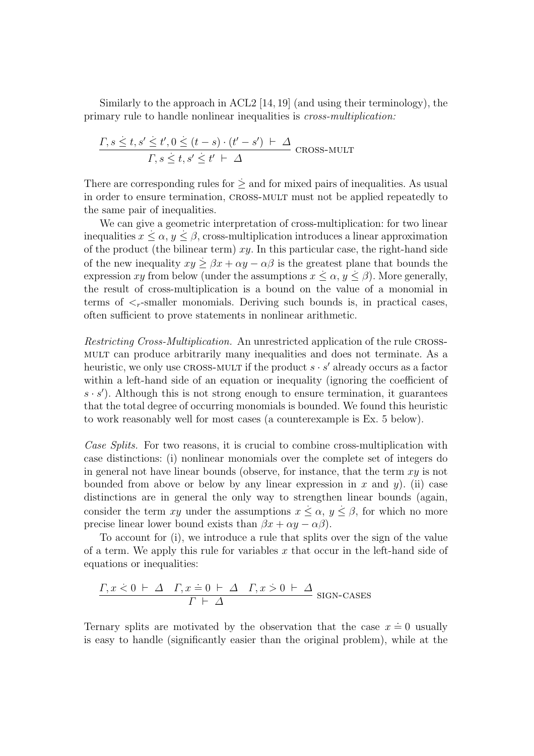Similarly to the approach in ACL2 [14, 19] (and using their terminology), the primary rule to handle nonlinear inequalities is cross-multiplication:

$$
\frac{\Gamma, s \le t, s' \le t', 0 \le (t - s) \cdot (t' - s') + \Delta}{\Gamma, s \le t, s' \le t' + \Delta}
$$
 *cross-mULT*

There are corresponding rules for  $\dot{\ge}$  and for mixed pairs of inequalities. As usual in order to ensure termination, cross-mult must not be applied repeatedly to the same pair of inequalities.

We can give a geometric interpretation of cross-multiplication: for two linear inequalities  $x \leq \alpha, y \leq \beta$ , cross-multiplication introduces a linear approximation of the product (the bilinear term)  $xy$ . In this particular case, the right-hand side of the new inequality  $xy \geq \beta x + \alpha y - \alpha \beta$  is the greatest plane that bounds the expression xy from below (under the assumptions  $x \leq \alpha, y \leq \beta$ ). More generally, the result of cross-multiplication is a bound on the value of a monomial in terms of  $\leq_r$ -smaller monomials. Deriving such bounds is, in practical cases, often sufficient to prove statements in nonlinear arithmetic.

Restricting Cross-Multiplication. An unrestricted application of the rule crossmult can produce arbitrarily many inequalities and does not terminate. As a heuristic, we only use CROSS-MULT if the product  $s \cdot s'$  already occurs as a factor within a left-hand side of an equation or inequality (ignoring the coefficient of  $s \cdot s'$ ). Although this is not strong enough to ensure termination, it guarantees that the total degree of occurring monomials is bounded. We found this heuristic to work reasonably well for most cases (a counterexample is Ex. 5 below).

Case Splits. For two reasons, it is crucial to combine cross-multiplication with case distinctions: (i) nonlinear monomials over the complete set of integers do in general not have linear bounds (observe, for instance, that the term  $xy$  is not bounded from above or below by any linear expression in x and y). (ii) case distinctions are in general the only way to strengthen linear bounds (again, consider the term xy under the assumptions  $x \leq \alpha$ ,  $y \leq \beta$ , for which no more precise linear lower bound exists than  $\beta x + \alpha y - \alpha \beta$ .

To account for (i), we introduce a rule that splits over the sign of the value of a term. We apply this rule for variables  $x$  that occur in the left-hand side of equations or inequalities:

$$
\frac{\Gamma, x \le 0 \vdash \Delta \quad \Gamma, x \doteq 0 \vdash \Delta \quad \Gamma, x \le 0 \vdash \Delta}{\Gamma \vdash \Delta} \text{ SIGN-CASES}
$$

Ternary splits are motivated by the observation that the case  $x \doteq 0$  usually is easy to handle (significantly easier than the original problem), while at the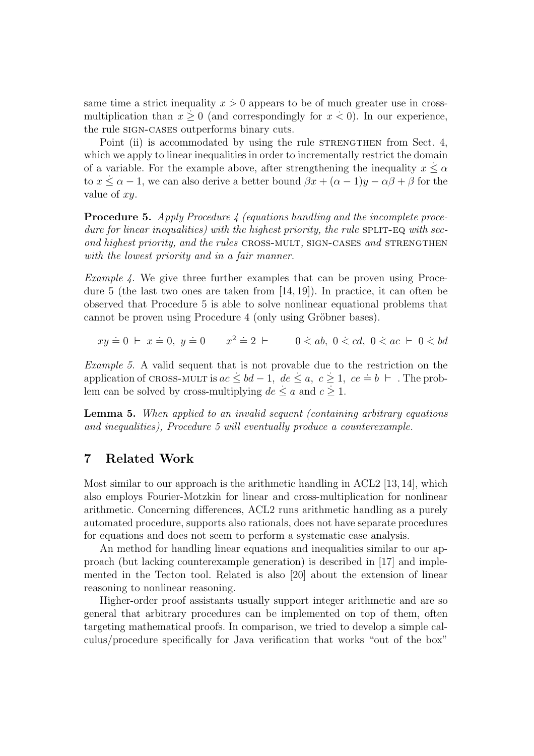same time a strict inequality  $x > 0$  appears to be of much greater use in crossmultiplication than  $x \geq 0$  (and correspondingly for  $x < 0$ ). In our experience, the rule SIGN-CASES outperforms binary cuts.

Point (ii) is accommodated by using the rule STRENGTHEN from Sect. 4, which we apply to linear inequalities in order to incrementally restrict the domain of a variable. For the example above, after strengthening the inequality  $x \leq \alpha$ to  $x \le \alpha - 1$ , we can also derive a better bound  $\beta x + (\alpha - 1)y - \alpha \beta + \beta$  for the value of xy.

**Procedure 5.** Apply Procedure 4 (equations handling and the incomplete procedure for linear inequalities) with the highest priority, the rule  $\text{SPLIT-EQ}$  with second highest priority, and the rules CROSS-MULT, SIGN-CASES and STRENGTHEN with the lowest priority and in a fair manner.

*Example 4.* We give three further examples that can be proven using Procedure 5 (the last two ones are taken from [14, 19]). In practice, it can often be observed that Procedure 5 is able to solve nonlinear equational problems that cannot be proven using Procedure 4 (only using Gröbner bases).

 $xy = 0 \vdash x = 0, y = 0 \qquad x^2 = 2 \vdash 0 \le ab, 0 \le cd, 0 \le ac \vdash 0 \le bd$ 

Example 5. A valid sequent that is not provable due to the restriction on the Example 5. A valid sequent that is not provable due to the restriction of the application of CROSS-MULT is  $ac ≤ bd - 1$ ,  $de ≤ a, c ≥ 1$ ,  $ce = b \vdash$ . The problem can be solved by cross-multiplying  $de \le a$  and  $c \ge 1$ .

Lemma 5. When applied to an invalid sequent (containing arbitrary equations and inequalities), Procedure 5 will eventually produce a counterexample.

### 7 Related Work

Most similar to our approach is the arithmetic handling in ACL2 [13, 14], which also employs Fourier-Motzkin for linear and cross-multiplication for nonlinear arithmetic. Concerning differences, ACL2 runs arithmetic handling as a purely automated procedure, supports also rationals, does not have separate procedures for equations and does not seem to perform a systematic case analysis.

An method for handling linear equations and inequalities similar to our approach (but lacking counterexample generation) is described in [17] and implemented in the Tecton tool. Related is also [20] about the extension of linear reasoning to nonlinear reasoning.

Higher-order proof assistants usually support integer arithmetic and are so general that arbitrary procedures can be implemented on top of them, often targeting mathematical proofs. In comparison, we tried to develop a simple calculus/procedure specifically for Java verification that works "out of the box"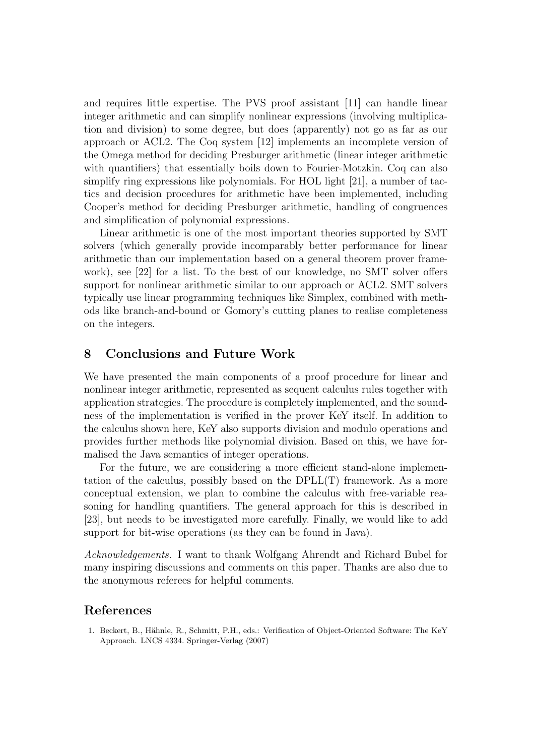and requires little expertise. The PVS proof assistant [11] can handle linear integer arithmetic and can simplify nonlinear expressions (involving multiplication and division) to some degree, but does (apparently) not go as far as our approach or ACL2. The Coq system [12] implements an incomplete version of the Omega method for deciding Presburger arithmetic (linear integer arithmetic with quantifiers) that essentially boils down to Fourier-Motzkin. Coq can also simplify ring expressions like polynomials. For HOL light [21], a number of tactics and decision procedures for arithmetic have been implemented, including Cooper's method for deciding Presburger arithmetic, handling of congruences and simplification of polynomial expressions.

Linear arithmetic is one of the most important theories supported by SMT solvers (which generally provide incomparably better performance for linear arithmetic than our implementation based on a general theorem prover framework), see [22] for a list. To the best of our knowledge, no SMT solver offers support for nonlinear arithmetic similar to our approach or ACL2. SMT solvers typically use linear programming techniques like Simplex, combined with methods like branch-and-bound or Gomory's cutting planes to realise completeness on the integers.

#### 8 Conclusions and Future Work

We have presented the main components of a proof procedure for linear and nonlinear integer arithmetic, represented as sequent calculus rules together with application strategies. The procedure is completely implemented, and the soundness of the implementation is verified in the prover KeY itself. In addition to the calculus shown here, KeY also supports division and modulo operations and provides further methods like polynomial division. Based on this, we have formalised the Java semantics of integer operations.

For the future, we are considering a more efficient stand-alone implementation of the calculus, possibly based on the DPLL(T) framework. As a more conceptual extension, we plan to combine the calculus with free-variable reasoning for handling quantifiers. The general approach for this is described in [23], but needs to be investigated more carefully. Finally, we would like to add support for bit-wise operations (as they can be found in Java).

Acknowledgements. I want to thank Wolfgang Ahrendt and Richard Bubel for many inspiring discussions and comments on this paper. Thanks are also due to the anonymous referees for helpful comments.

#### References

1. Beckert, B., Hähnle, R., Schmitt, P.H., eds.: Verification of Object-Oriented Software: The KeY Approach. LNCS 4334. Springer-Verlag (2007)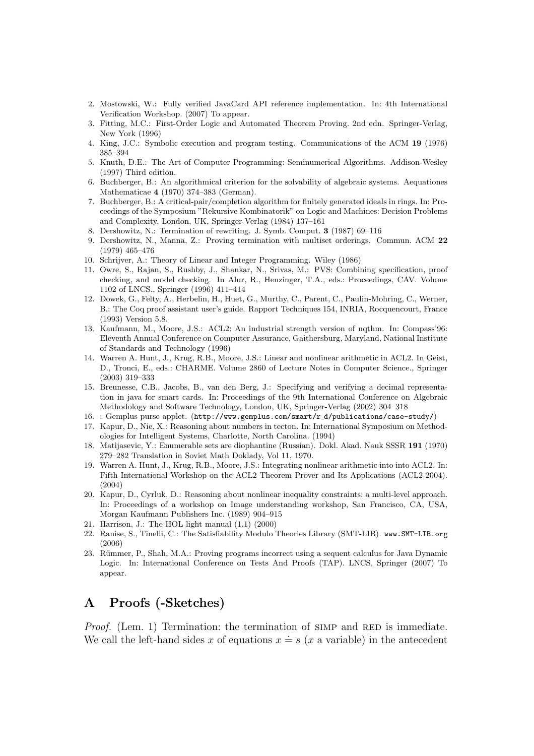- 2. Mostowski, W.: Fully verified JavaCard API reference implementation. In: 4th International Verification Workshop. (2007) To appear.
- 3. Fitting, M.C.: First-Order Logic and Automated Theorem Proving. 2nd edn. Springer-Verlag, New York (1996)
- 4. King, J.C.: Symbolic execution and program testing. Communications of the ACM 19 (1976) 385–394
- 5. Knuth, D.E.: The Art of Computer Programming: Seminumerical Algorithms. Addison-Wesley (1997) Third edition.
- 6. Buchberger, B.: An algorithmical criterion for the solvability of algebraic systems. Aequationes Mathematicae 4 (1970) 374–383 (German).
- 7. Buchberger, B.: A critical-pair/completion algorithm for finitely generated ideals in rings. In: Proceedings of the Symposium "Rekursive Kombinatorik" on Logic and Machines: Decision Problems and Complexity, London, UK, Springer-Verlag (1984) 137–161
- 8. Dershowitz, N.: Termination of rewriting. J. Symb. Comput. 3 (1987) 69–116
- 9. Dershowitz, N., Manna, Z.: Proving termination with multiset orderings. Commun. ACM 22 (1979) 465–476
- 10. Schrijver, A.: Theory of Linear and Integer Programming. Wiley (1986)
- 11. Owre, S., Rajan, S., Rushby, J., Shankar, N., Srivas, M.: PVS: Combining specification, proof checking, and model checking. In Alur, R., Henzinger, T.A., eds.: Proceedings, CAV. Volume 1102 of LNCS., Springer (1996) 411–414
- 12. Dowek, G., Felty, A., Herbelin, H., Huet, G., Murthy, C., Parent, C., Paulin-Mohring, C., Werner, B.: The Coq proof assistant user's guide. Rapport Techniques 154, INRIA, Rocquencourt, France (1993) Version 5.8.
- 13. Kaufmann, M., Moore, J.S.: ACL2: An industrial strength version of nqthm. In: Compass'96: Eleventh Annual Conference on Computer Assurance, Gaithersburg, Maryland, National Institute of Standards and Technology (1996)
- 14. Warren A. Hunt, J., Krug, R.B., Moore, J.S.: Linear and nonlinear arithmetic in ACL2. In Geist, D., Tronci, E., eds.: CHARME. Volume 2860 of Lecture Notes in Computer Science., Springer (2003) 319–333
- 15. Breunesse, C.B., Jacobs, B., van den Berg, J.: Specifying and verifying a decimal representation in java for smart cards. In: Proceedings of the 9th International Conference on Algebraic Methodology and Software Technology, London, UK, Springer-Verlag (2002) 304–318
- 16. : Gemplus purse applet. (http://www.gemplus.com/smart/r d/publications/case-study/)
- 17. Kapur, D., Nie, X.: Reasoning about numbers in tecton. In: International Symposium on Methodologies for Intelligent Systems, Charlotte, North Carolina. (1994)
- 18. Matijasevic, Y.: Enumerable sets are diophantine (Russian). Dokl. Akad. Nauk SSSR 191 (1970) 279–282 Translation in Soviet Math Doklady, Vol 11, 1970.
- 19. Warren A. Hunt, J., Krug, R.B., Moore, J.S.: Integrating nonlinear arithmetic into into ACL2. In: Fifth International Workshop on the ACL2 Theorem Prover and Its Applications (ACL2-2004). (2004)
- 20. Kapur, D., Cyrluk, D.: Reasoning about nonlinear inequality constraints: a multi-level approach. In: Proceedings of a workshop on Image understanding workshop, San Francisco, CA, USA, Morgan Kaufmann Publishers Inc. (1989) 904–915
- 21. Harrison, J.: The HOL light manual (1.1) (2000)
- 22. Ranise, S., Tinelli, C.: The Satisfiability Modulo Theories Library (SMT-LIB). www.SMT-LIB.org (2006)
- 23. Rümmer, P., Shah, M.A.: Proving programs incorrect using a sequent calculus for Java Dynamic Logic. In: International Conference on Tests And Proofs (TAP). LNCS, Springer (2007) To appear.

# A Proofs (-Sketches)

*Proof.* (Lem. 1) Termination: the termination of  $\text{SIMP}$  and  $\text{RED}$  is immediate. We call the left-hand sides x of equations  $x = s$  (x a variable) in the antecedent